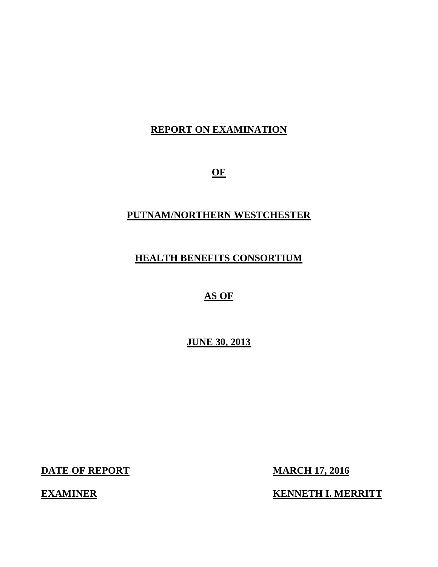## **REPORT ON EXAMINATION**

**OF** 

### **PUTNAM/NORTHERN WESTCHESTER**

## **HEALTH BENEFITS CONSORTIUM**

### **AS OF**

 **JUNE 30, 2013** 

**DATE OF REPORT MARCH 17, 2016** 

**EXAMINER** 

**KENNETH I. MERRITT**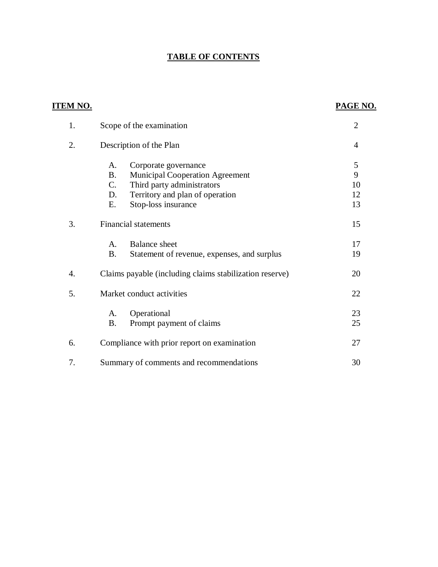### **TABLE OF CONTENTS**

| <u>ITEM NO.</u> |                                                          | PAGE NO.       |
|-----------------|----------------------------------------------------------|----------------|
| 1.              | Scope of the examination                                 | $\overline{2}$ |
| 2.              | Description of the Plan                                  | 4              |
|                 | Corporate governance<br>A.                               | 5              |
|                 | <b>B.</b><br><b>Municipal Cooperation Agreement</b>      | 9              |
|                 | C.<br>Third party administrators                         | 10             |
|                 | Territory and plan of operation<br>D.                    | 12             |
|                 | Stop-loss insurance<br>E.                                | 13             |
| 3.              | <b>Financial statements</b>                              | 15             |
|                 | <b>Balance</b> sheet<br>A.                               | 17             |
|                 | <b>B.</b><br>Statement of revenue, expenses, and surplus | 19             |
| 4.              | Claims payable (including claims stabilization reserve)  | 20             |
| 5.              | Market conduct activities                                | 22             |
|                 | Operational<br>A.                                        | 23             |
|                 | <b>B.</b><br>Prompt payment of claims                    | 25             |
| 6.              | Compliance with prior report on examination              | 27             |
| 7.              | Summary of comments and recommendations                  | 30             |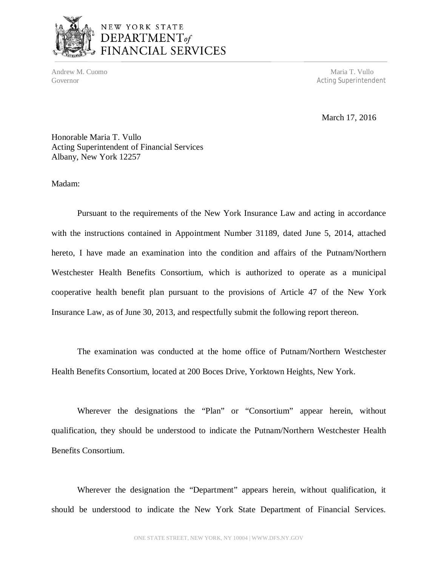

# NEW YORK STATE DEPARTMENT<sub>of</sub><br>FINANCIAL SERVICES

Andrew M. Cuomo **Maria T. Vullo** Andrew M. Cuomo **Maria T. Vullo** Andrew M. Cuomo **Maria T. Vullo** Governor **Acting Superintendent Acting Superintendent** 

March 17, 2016

 Honorable Maria T. Vullo Acting Superintendent of Financial Services Albany, New York 12257

Madam:

 Pursuant to the requirements of the New York Insurance Law and acting in accordance with the instructions contained in Appointment Number 31189, dated June 5, 2014, attached hereto, I have made an examination into the condition and affairs of the Putnam/Northern Westchester Health Benefits Consortium, which is authorized to operate as a municipal cooperative health benefit plan pursuant to the provisions of Article 47 of the New York Insurance Law, as of June 30, 2013, and respectfully submit the following report thereon.

 Health Benefits Consortium, located at 200 Boces Drive, Yorktown Heights, New York. The examination was conducted at the home office of Putnam/Northern Westchester

 Wherever the designations the "Plan" or "Consortium" appear herein, without qualification, they should be understood to indicate the Putnam/Northern Westchester Health Benefits Consortium.

 Wherever the designation the "Department" appears herein, without qualification, it should be understood to indicate the New York State Department of Financial Services.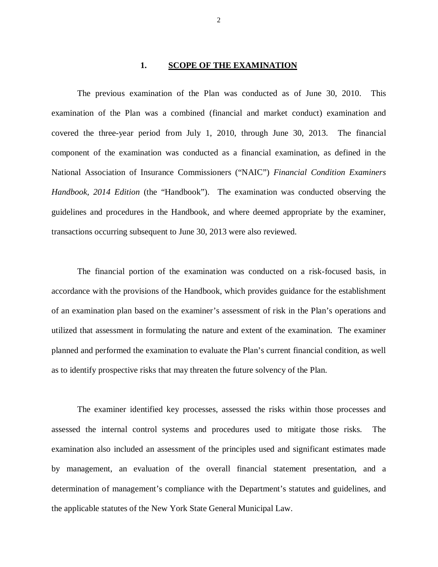#### $1.$ **<u>SCOPE OF THE EXAMINATION</u>**

 The previous examination of the Plan was conducted as of June 30, 2010. This examination of the Plan was a combined (financial and market conduct) examination and covered the three-year period from July 1, 2010, through June 30, 2013. The financial component of the examination was conducted as a financial examination, as defined in the National Association of Insurance Commissioners ("NAIC") *Financial Condition Examiners*  Handbook, 2014 Edition (the "Handbook"). The examination was conducted observing the guidelines and procedures in the Handbook, and where deemed appropriate by the examiner, transactions occurring subsequent to June 30, 2013 were also reviewed.

 accordance with the provisions of the Handbook, which provides guidance for the establishment of an examination plan based on the examiner's assessment of risk in the Plan's operations and utilized that assessment in formulating the nature and extent of the examination. The examiner planned and performed the examination to evaluate the Plan's current financial condition, as well as to identify prospective risks that may threaten the future solvency of the Plan. The financial portion of the examination was conducted on a risk-focused basis, in

 assessed the internal control systems and procedures used to mitigate those risks. The examination also included an assessment of the principles used and significant estimates made by management, an evaluation of the overall financial statement presentation, and a determination of management's compliance with the Department's statutes and guidelines, and the applicable statutes of the New York State General Municipal Law. The examiner identified key processes, assessed the risks within those processes and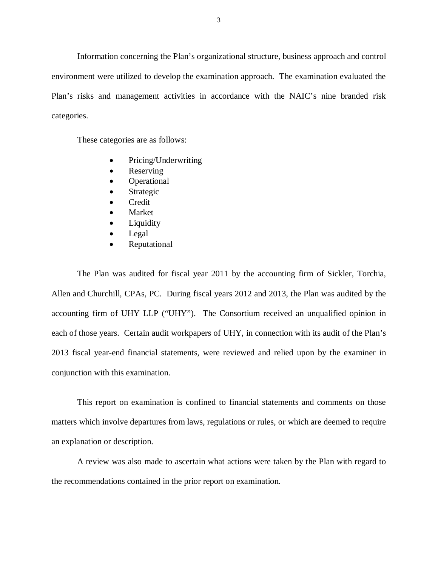Information concerning the Plan's organizational structure, business approach and control environment were utilized to develop the examination approach. The examination evaluated the Plan's risks and management activities in accordance with the NAIC's nine branded risk categories.

These categories are as follows:

- Pricing/Underwriting
- Reserving
- Operational
- Strategic
- **•** Credit
- Market
- Liquidity
- Legal
- Reputational

 The Plan was audited for fiscal year 2011 by the accounting firm of Sickler, Torchia, Allen and Churchill, CPAs, PC. During fiscal years 2012 and 2013, the Plan was audited by the accounting firm of UHY LLP ("UHY"). The Consortium received an unqualified opinion in each of those years. Certain audit workpapers of UHY, in connection with its audit of the Plan's 2013 fiscal year-end financial statements, were reviewed and relied upon by the examiner in conjunction with this examination.

 This report on examination is confined to financial statements and comments on those matters which involve departures from laws, regulations or rules, or which are deemed to require an explanation or description.

 A review was also made to ascertain what actions were taken by the Plan with regard to the recommendations contained in the prior report on examination.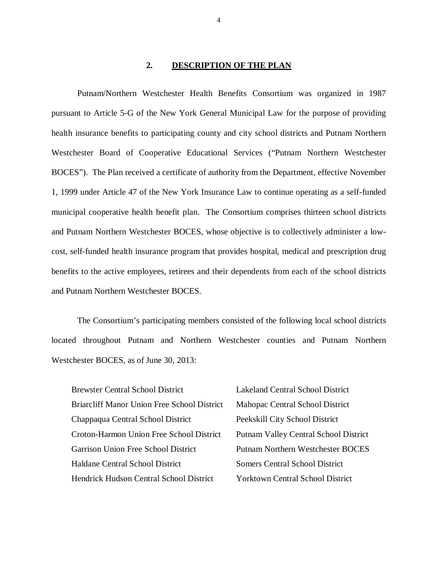#### **DESCRIPTION OF THE PLAN**

 Putnam/Northern Westchester Health Benefits Consortium was organized in 1987 pursuant to Article 5-G of the New York General Municipal Law for the purpose of providing health insurance benefits to participating county and city school districts and Putnam Northern Westchester Board of Cooperative Educational Services ("Putnam Northern Westchester BOCES"). The Plan received a certificate of authority from the Department, effective November 1, 1999 under Article 47 of the New York Insurance Law to continue operating as a self-funded municipal cooperative health benefit plan. The Consortium comprises thirteen school districts and Putnam Northern Westchester BOCES, whose objective is to collectively administer a low- cost, self-funded health insurance program that provides hospital, medical and prescription drug benefits to the active employees, retirees and their dependents from each of the school districts and Putnam Northern Westchester BOCES.

 The Consortium's participating members consisted of the following local school districts located throughout Putnam and Northern Westchester counties and Putnam Northern Westchester BOCES, as of June 30, 2013:

| <b>Brewster Central School District</b>            | <b>Lakeland Central School District</b>      |
|----------------------------------------------------|----------------------------------------------|
| <b>Briarcliff Manor Union Free School District</b> | Mahopac Central School District              |
| Chappaqua Central School District                  | Peekskill City School District               |
| Croton-Harmon Union Free School District           | <b>Putnam Valley Central School District</b> |
| <b>Garrison Union Free School District</b>         | <b>Putnam Northern Westchester BOCES</b>     |
| Haldane Central School District                    | <b>Somers Central School District</b>        |
| <b>Hendrick Hudson Central School District</b>     | <b>Yorktown Central School District</b>      |

4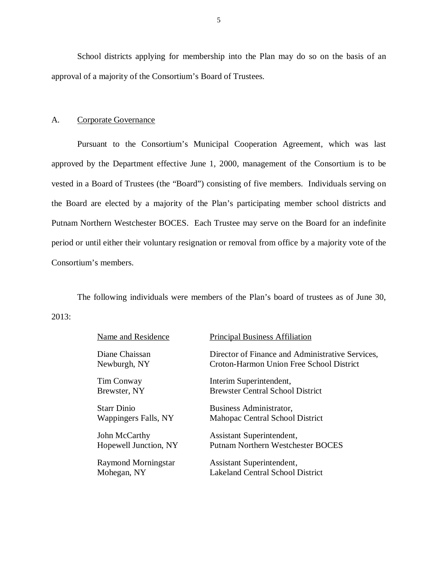School districts applying for membership into the Plan may do so on the basis of an approval of a majority of the Consortium's Board of Trustees.

#### $A<sub>1</sub>$ Corporate Governance

 Pursuant to the Consortium's Municipal Cooperation Agreement, which was last approved by the Department effective June 1, 2000, management of the Consortium is to be vested in a Board of Trustees (the "Board") consisting of five members. Individuals serving on the Board are elected by a majority of the Plan's participating member school districts and Putnam Northern Westchester BOCES. Each Trustee may serve on the Board for an indefinite period or until either their voluntary resignation or removal from office by a majority vote of the Consortium's members.

 The following individuals were members of the Plan's board of trustees as of June 30, 2013:

| Name and Residence             | <b>Principal Business Affiliation</b>                                                        |
|--------------------------------|----------------------------------------------------------------------------------------------|
| Diane Chaissan<br>Newburgh, NY | Director of Finance and Administrative Services,<br>Croton-Harmon Union Free School District |
| Tim Conway                     | Interim Superintendent,                                                                      |
| Brewster, NY                   | <b>Brewster Central School District</b>                                                      |
| <b>Starr Dinio</b>             | Business Administrator,                                                                      |
| Wappingers Falls, NY           | Mahopac Central School District                                                              |
| John McCarthy                  | Assistant Superintendent,                                                                    |
| Hopewell Junction, NY          | <b>Putnam Northern Westchester BOCES</b>                                                     |
| <b>Raymond Morningstar</b>     | Assistant Superintendent,                                                                    |
| Mohegan, NY                    | <b>Lakeland Central School District</b>                                                      |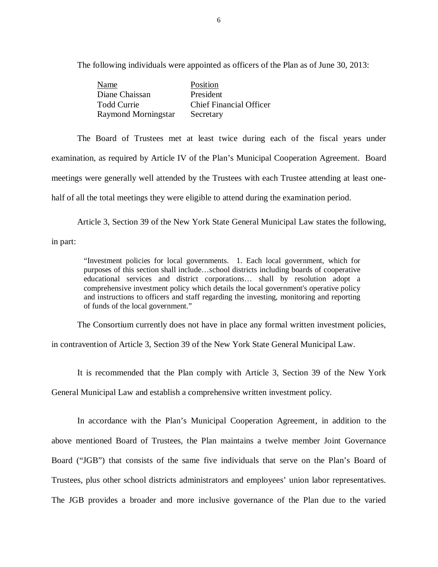The following individuals were appointed as officers of the Plan as of June 30, 2013:

| Name                | Position                       |
|---------------------|--------------------------------|
| Diane Chaissan      | President                      |
| <b>Todd Currie</b>  | <b>Chief Financial Officer</b> |
| Raymond Morningstar | Secretary                      |

 The Board of Trustees met at least twice during each of the fiscal years under examination, as required by Article IV of the Plan's Municipal Cooperation Agreement. Board meetings were generally well attended by the Trustees with each Trustee attending at least one-half of all the total meetings they were eligible to attend during the examination period.

Article 3, Section 39 of the New York State General Municipal Law states the following,

in part:

 "Investment policies for local governments. 1. Each local government, which for purposes of this section shall include…school districts including boards of cooperative educational services and district corporations… shall by resolution adopt a comprehensive investment policy which details the local government's operative policy and instructions to officers and staff regarding the investing, monitoring and reporting of funds of the local government."

The Consortium currently does not have in place any formal written investment policies,

in contravention of Article 3, Section 39 of the New York State General Municipal Law.

It is recommended that the Plan comply with Article 3, Section 39 of the New York

General Municipal Law and establish a comprehensive written investment policy.

 In accordance with the Plan's Municipal Cooperation Agreement, in addition to the above mentioned Board of Trustees, the Plan maintains a twelve member Joint Governance Board ("JGB") that consists of the same five individuals that serve on the Plan's Board of Trustees, plus other school districts administrators and employees' union labor representatives. The JGB provides a broader and more inclusive governance of the Plan due to the varied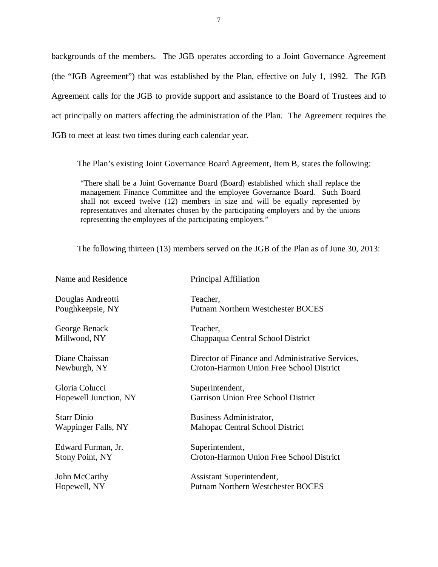backgrounds of the members. The JGB operates according to a Joint Governance Agreement (the "JGB Agreement") that was established by the Plan, effective on July 1, 1992. The JGB Agreement calls for the JGB to provide support and assistance to the Board of Trustees and to act principally on matters affecting the administration of the Plan. The Agreement requires the JGB to meet at least two times during each calendar year.

The Plan's existing Joint Governance Board Agreement, Item B, states the following:

 "There shall be a Joint Governance Board (Board) established which shall replace the management Finance Committee and the employee Governance Board. Such Board shall not exceed twelve (12) members in size and will be equally represented by representatives and alternates chosen by the participating employers and by the unions representing the employees of the participating employers."

The following thirteen (13) members served on the JGB of the Plan as of June 30, 2013:

| Principal Affiliation<br>Name and Residence |                                                  |
|---------------------------------------------|--------------------------------------------------|
| Douglas Andreotti                           | Teacher,                                         |
| Poughkeepsie, NY                            | <b>Putnam Northern Westchester BOCES</b>         |
| George Benack                               | Teacher,                                         |
| Millwood, NY                                | Chappaqua Central School District                |
| Diane Chaissan                              | Director of Finance and Administrative Services, |
| Newburgh, NY                                | Croton-Harmon Union Free School District         |
| Gloria Colucci                              | Superintendent,                                  |
| Hopewell Junction, NY                       | <b>Garrison Union Free School District</b>       |
| <b>Starr Dinio</b>                          | Business Administrator,                          |
| Wappinger Falls, NY                         | Mahopac Central School District                  |
| Edward Furman, Jr.                          | Superintendent,                                  |
| <b>Stony Point, NY</b>                      | Croton-Harmon Union Free School District         |
| John McCarthy                               | Assistant Superintendent,                        |
| Hopewell, NY                                | <b>Putnam Northern Westchester BOCES</b>         |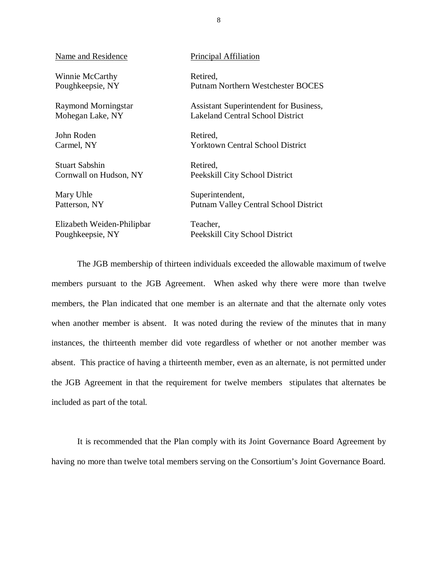Winnie McCarthy Retired, Poughkeepsie, NY

Mohegan Lake, NY

John Roden Retired, Carmel, NY

Stuart Sabshin Retired, Cornwall on Hudson, NY

Mary Uhle Patterson, NY

Poughkeepsie, NY Elizabeth Weiden-Philipbar Teacher,

Name and Residence **Principal Affiliation** 

Putnam Northern Westchester BOCES

Raymond Morningstar **Assistant Superintendent for Business**, Mohegan Lake, NY Lakeland Central School District

Yorktown Central School District

Peekskill City School District

Superintendent, Putnam Valley Central School District

Peekskill City School District

 members pursuant to the JGB Agreement. When asked why there were more than twelve members, the Plan indicated that one member is an alternate and that the alternate only votes when another member is absent. It was noted during the review of the minutes that in many instances, the thirteenth member did vote regardless of whether or not another member was absent. This practice of having a thirteenth member, even as an alternate, is not permitted under the JGB Agreement in that the requirement for twelve members stipulates that alternates be included as part of the total. The JGB membership of thirteen individuals exceeded the allowable maximum of twelve

 having no more than twelve total members serving on the Consortium's Joint Governance Board. It is recommended that the Plan comply with its Joint Governance Board Agreement by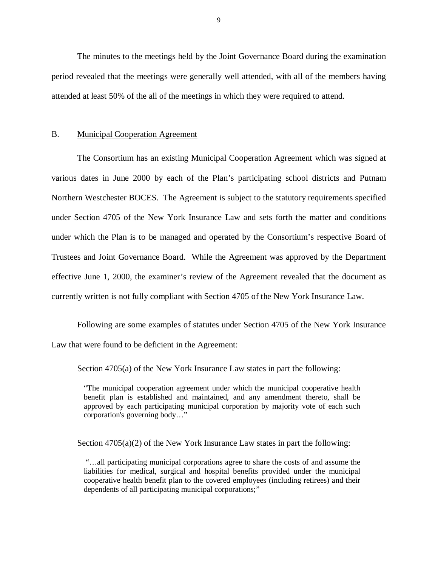<span id="page-10-0"></span> period revealed that the meetings were generally well attended, with all of the members having attended at least 50% of the all of the meetings in which they were required to attend. The minutes to the meetings held by the Joint Governance Board during the examination

#### $B<sub>1</sub>$ **Municipal Cooperation Agreement**

 various dates in June 2000 by each of the Plan's participating school districts and Putnam Northern Westchester BOCES. The Agreement is subject to the statutory requirements specified under Section 4705 of the New York Insurance Law and sets forth the matter and conditions under which the Plan is to be managed and operated by the Consortium's respective Board of Trustees and Joint Governance Board. While the Agreement was approved by the Department effective June 1, 2000, the examiner's review of the Agreement revealed that the document as currently written is not fully compliant with Section 4705 of the New York Insurance Law. The Consortium has an existing Municipal Cooperation Agreement which was signed at

 Following are some examples of statutes under Section 4705 of the New York Insurance Law that were found to be deficient in the Agreement:

Section 4705(a) of the New York Insurance Law states in part the following:

 "The municipal cooperation agreement under which the municipal cooperative health benefit plan is established and maintained, and any amendment thereto, shall be approved by each participating municipal corporation by majority vote of each such corporation's governing body…"

Section 4705(a)(2) of the New York Insurance Law states in part the following:

 "…all participating municipal corporations agree to share the costs of and assume the liabilities for medical, surgical and hospital benefits provided under the municipal cooperative health benefit plan to the covered employees (including retirees) and their dependents of all participating municipal corporations;"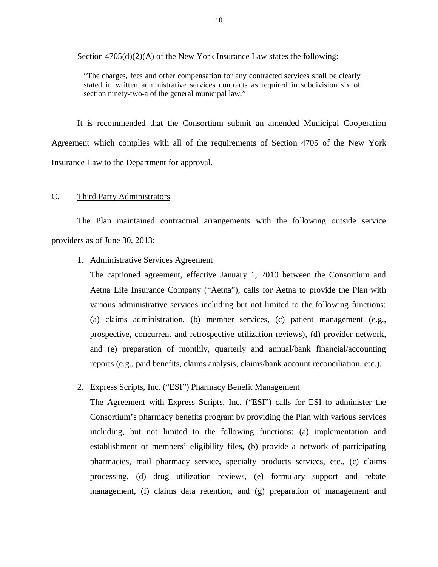<span id="page-11-0"></span>Section 4705(d)(2)(A) of the New York Insurance Law states the following:

 "The charges, fees and other compensation for any contracted services shall be clearly stated in written administrative services contracts as required in subdivision six of section ninety-two-a of the general municipal law;"

 Agreement which complies with all of the requirements of Section 4705 of the New York Insurance Law to the Department for approval. It is recommended that the Consortium submit an amended Municipal Cooperation

#### C. Third Party Administrators

 The Plan maintained contractual arrangements with the following outside service providers as of June 30, 2013:

#### 1. Administrative Services Agreement

 The captioned agreement, effective January 1, 2010 between the Consortium and Aetna Life Insurance Company ("Aetna"), calls for Aetna to provide the Plan with various administrative services including but not limited to the following functions: (a) claims administration, (b) member services, (c) patient management (e.g., prospective, concurrent and retrospective utilization reviews), (d) provider network, and (e) preparation of monthly, quarterly and annual/bank financial/accounting reports (e.g., paid benefits, claims analysis, claims/bank account reconciliation, etc.).

#### 2. Express Scripts, Inc. ("ESI") Pharmacy Benefit Management

 The Agreement with Express Scripts, Inc. ("ESI") calls for ESI to administer the Consortium's pharmacy benefits program by providing the Plan with various services including, but not limited to the following functions: (a) implementation and establishment of members' eligibility files, (b) provide a network of participating pharmacies, mail pharmacy service, specialty products services, etc., (c) claims processing, (d) drug utilization reviews, (e) formulary support and rebate management, (f) claims data retention, and (g) preparation of management and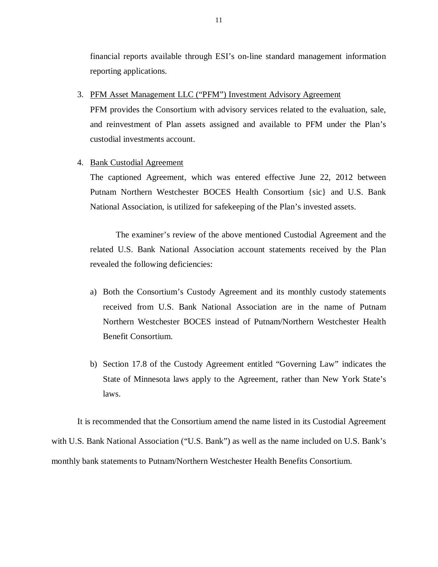financial reports available through ESI's on-line standard management information reporting applications.

3. PFM Asset Management LLC ("PFM") Investment Advisory Agreement

 PFM provides the Consortium with advisory services related to the evaluation, sale, and reinvestment of Plan assets assigned and available to PFM under the Plan's custodial investments account.

#### 4. Bank Custodial Agreement

 The captioned Agreement, which was entered effective June 22, 2012 between Putnam Northern Westchester BOCES Health Consortium {sic} and U.S. Bank National Association, is utilized for safekeeping of the Plan's invested assets.

 The examiner's review of the above mentioned Custodial Agreement and the related U.S. Bank National Association account statements received by the Plan revealed the following deficiencies:

- a) Both the Consortium's Custody Agreement and its monthly custody statements received from U.S. Bank National Association are in the name of Putnam Northern Westchester BOCES instead of Putnam/Northern Westchester Health Benefit Consortium.
- b) Section 17.8 of the Custody Agreement entitled "Governing Law" indicates the State of Minnesota laws apply to the Agreement, rather than New York State's laws.

 with U.S. Bank National Association ("U.S. Bank") as well as the name included on U.S. Bank's monthly bank statements to Putnam/Northern Westchester Health Benefits Consortium. It is recommended that the Consortium amend the name listed in its Custodial Agreement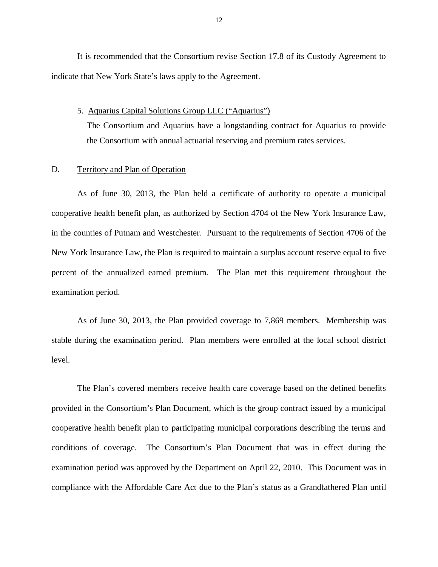<span id="page-13-0"></span> It is recommended that the Consortium revise Section 17.8 of its Custody Agreement to indicate that New York State's laws apply to the Agreement.

#### 5. Aquarius Capital Solutions Group LLC ("Aquarius")

 The Consortium and Aquarius have a longstanding contract for Aquarius to provide the Consortium with annual actuarial reserving and premium rates services.

#### D. Territory and Plan of Operation

 cooperative health benefit plan, as authorized by Section 4704 of the New York Insurance Law, in the counties of Putnam and Westchester. Pursuant to the requirements of Section 4706 of the New York Insurance Law, the Plan is required to maintain a surplus account reserve equal to five percent of the annualized earned premium. The Plan met this requirement throughout the examination period. As of June 30, 2013, the Plan held a certificate of authority to operate a municipal

 As of June 30, 2013, the Plan provided coverage to 7,869 members. Membership was stable during the examination period. Plan members were enrolled at the local school district level.

 provided in the Consortium's Plan Document, which is the group contract issued by a municipal cooperative health benefit plan to participating municipal corporations describing the terms and conditions of coverage. The Consortium's Plan Document that was in effect during the examination period was approved by the Department on April 22, 2010. This Document was in compliance with the Affordable Care Act due to the Plan's status as a Grandfathered Plan until The Plan's covered members receive health care coverage based on the defined benefits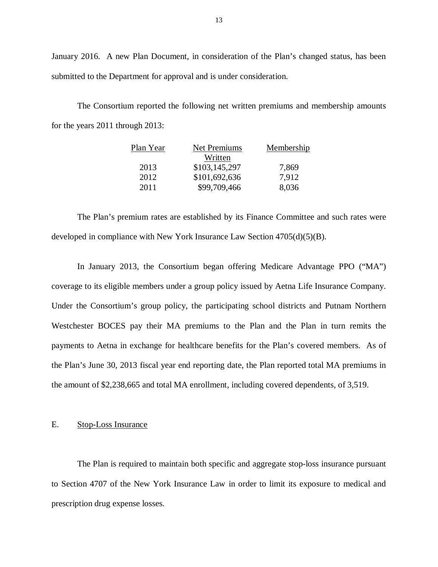January 2016. A new Plan Document, in consideration of the Plan's changed status, has been submitted to the Department for approval and is under consideration.

 for the years 2011 through 2013: The Consortium reported the following net written premiums and membership amounts

| Plan Year | <b>Net Premiums</b> | Membership |
|-----------|---------------------|------------|
|           | Written             |            |
| 2013      | \$103,145,297       | 7,869      |
| 2012      | \$101,692,636       | 7,912      |
| 2011      | \$99,709,466        | 8,036      |

 developed in compliance with New York Insurance Law Section 4705(d)(5)(B). The Plan's premium rates are established by its Finance Committee and such rates were

 coverage to its eligible members under a group policy issued by Aetna Life Insurance Company. Under the Consortium's group policy, the participating school districts and Putnam Northern Westchester BOCES pay their MA premiums to the Plan and the Plan in turn remits the payments to Aetna in exchange for healthcare benefits for the Plan's covered members. As of the Plan's June 30, 2013 fiscal year end reporting date, the Plan reported total MA premiums in the amount of \$2,238,665 and total MA enrollment, including covered dependents, of 3,519. In January 2013, the Consortium began offering Medicare Advantage PPO ("MA")

#### E. Stop-Loss Insurance

 to Section 4707 of the New York Insurance Law in order to limit its exposure to medical and prescription drug expense losses. The Plan is required to maintain both specific and aggregate stop-loss insurance pursuant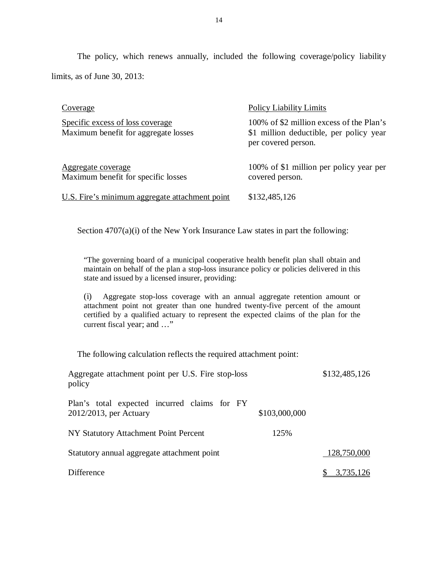limits, as of June 30, 2013: The policy, which renews annually, included the following coverage/policy liability

| Coverage                                                                 | <b>Policy Liability Limits</b>                                                                             |
|--------------------------------------------------------------------------|------------------------------------------------------------------------------------------------------------|
| Specific excess of loss coverage<br>Maximum benefit for aggregate losses | 100% of \$2 million excess of the Plan's<br>\$1 million deductible, per policy year<br>per covered person. |
| Aggregate coverage<br>Maximum benefit for specific losses                | 100% of \$1 million per policy year per<br>covered person.                                                 |
| U.S. Fire's minimum aggregate attachment point                           | \$132,485,126                                                                                              |

Section 4707(a)(i) of the New York Insurance Law states in part the following:

 "The governing board of a municipal cooperative health benefit plan shall obtain and maintain on behalf of the plan a stop-loss insurance policy or policies delivered in this state and issued by a licensed insurer, providing:

 (i) Aggregate stop-loss coverage with an annual aggregate retention amount or attachment point not greater than one hundred twenty-five percent of the amount certified by a qualified actuary to represent the expected claims of the plan for the current fiscal year; and …"

The following calculation reflects the required attachment point:

| Aggregate attachment point per U.S. Fire stop-loss<br>policy           |               | \$132,485,126 |
|------------------------------------------------------------------------|---------------|---------------|
| Plan's total expected incurred claims for FY<br>2012/2013, per Actuary | \$103,000,000 |               |
| NY Statutory Attachment Point Percent                                  | 125%          |               |
| Statutory annual aggregate attachment point                            |               | 128,750,000   |
| Difference                                                             |               | 3,735,126     |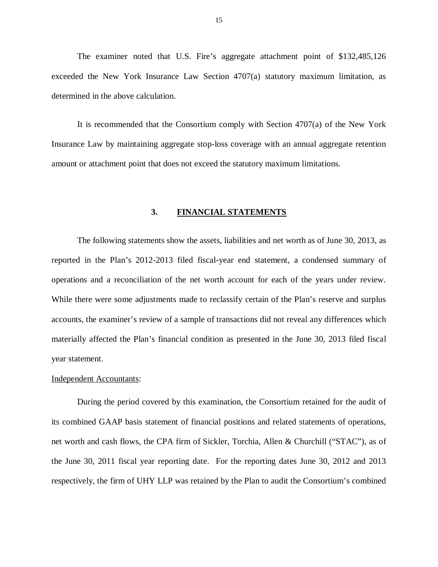<span id="page-16-0"></span> The examiner noted that U.S. Fire's aggregate attachment point of \$132,485,126 exceeded the New York Insurance Law Section 4707(a) statutory maximum limitation, as determined in the above calculation.

 It is recommended that the Consortium comply with Section 4707(a) of the New York Insurance Law by maintaining aggregate stop-loss coverage with an annual aggregate retention amount or attachment point that does not exceed the statutory maximum limitations.

#### **3. FINANCIAL STATEMENTS**

 reported in the Plan's 2012-2013 filed fiscal-year end statement, a condensed summary of operations and a reconciliation of the net worth account for each of the years under review. While there were some adjustments made to reclassify certain of the Plan's reserve and surplus accounts, the examiner's review of a sample of transactions did not reveal any differences which materially affected the Plan's financial condition as presented in the June 30, 2013 filed fiscal year statement. The following statements show the assets, liabilities and net worth as of June 30, 2013, as

#### Independent Accountants:

 During the period covered by this examination, the Consortium retained for the audit of its combined GAAP basis statement of financial positions and related statements of operations, net worth and cash flows, the CPA firm of Sickler, Torchia, Allen & Churchill ("STAC"), as of the June 30, 2011 fiscal year reporting date. For the reporting dates June 30, 2012 and 2013 respectively, the firm of UHY LLP was retained by the Plan to audit the Consortium's combined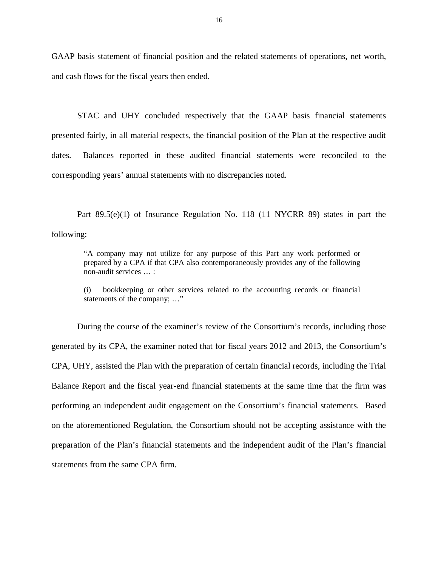GAAP basis statement of financial position and the related statements of operations, net worth, and cash flows for the fiscal years then ended.

 STAC and UHY concluded respectively that the GAAP basis financial statements presented fairly, in all material respects, the financial position of the Plan at the respective audit dates corresponding years' annual statements with no discrepancies noted. Balances reported in these audited financial statements were reconciled to the

Part 89.5(e)(1) of Insurance Regulation No. 118 (11 NYCRR 89) states in part the following:

 "A company may not utilize for any purpose of this Part any work performed or prepared by a CPA if that CPA also contemporaneously provides any of the following non-audit services … :

 (i) bookkeeping or other services related to the accounting records or financial statements of the company; …"

 During the course of the examiner's review of the Consortium's records, including those generated by its CPA, the examiner noted that for fiscal years 2012 and 2013, the Consortium's CPA, UHY, assisted the Plan with the preparation of certain financial records, including the Trial Balance Report and the fiscal year-end financial statements at the same time that the firm was performing an independent audit engagement on the Consortium's financial statements. Based on the aforementioned Regulation, the Consortium should not be accepting assistance with the preparation of the Plan's financial statements and the independent audit of the Plan's financial statements from the same CPA firm.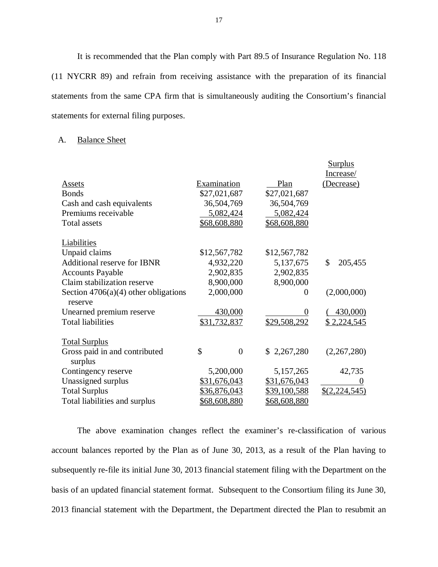(11 NYCRR 89) and refrain from receiving assistance with the preparation of its financial statements from the same CPA firm that is simultaneously auditing the Consortium's financial statements for external filing purposes. It is recommended that the Plan comply with Part 89.5 of Insurance Regulation No. 118

#### A. Balance Sheet

|                                                   |                      |                     | <b>Surplus</b> |
|---------------------------------------------------|----------------------|---------------------|----------------|
|                                                   |                      |                     | Increase/      |
| <b>Assets</b>                                     | Examination          | Plan                | (Decrease)     |
| <b>Bonds</b>                                      | \$27,021,687         | \$27,021,687        |                |
| Cash and cash equivalents                         | 36,504,769           | 36,504,769          |                |
| Premiums receivable                               | 5,082,424            | 5,082,424           |                |
| <b>Total assets</b>                               | \$68,608,880         | \$68,608,880        |                |
| Liabilities                                       |                      |                     |                |
| Unpaid claims                                     | \$12,567,782         | \$12,567,782        |                |
| <b>Additional reserve for IBNR</b>                | 4,932,220            | 5,137,675           | \$<br>205,455  |
| <b>Accounts Payable</b>                           | 2,902,835            | 2,902,835           |                |
| Claim stabilization reserve                       | 8,900,000            | 8,900,000           |                |
| Section $4706(a)(4)$ other obligations<br>reserve | 2,000,000            | $\Omega$            | (2,000,000)    |
| Unearned premium reserve                          | 430,000              | 0                   | 430,000)       |
| <b>Total liabilities</b>                          | \$31,732,837         | \$29,508,292        | \$2,224,545    |
| <b>Total Surplus</b>                              |                      |                     |                |
| Gross paid in and contributed<br>surplus          | \$<br>$\overline{0}$ | \$2,267,280         | (2,267,280)    |
| Contingency reserve                               | 5,200,000            | 5,157,265           | 42,735         |
| Unassigned surplus                                | \$31,676,043         | \$31,676,043        |                |
| <b>Total Surplus</b>                              | \$36,876,043         | \$39,100,588        | \$(2,224,545)  |
| Total liabilities and surplus                     | \$68,608,880         | <u>\$68,608,880</u> |                |

 account balances reported by the Plan as of June 30, 2013, as a result of the Plan having to subsequently re-file its initial June 30, 2013 financial statement filing with the Department on the basis of an updated financial statement format. Subsequent to the Consortium filing its June 30, 2013 financial statement with the Department, the Department directed the Plan to resubmit an The above examination changes reflect the examiner's re-classification of various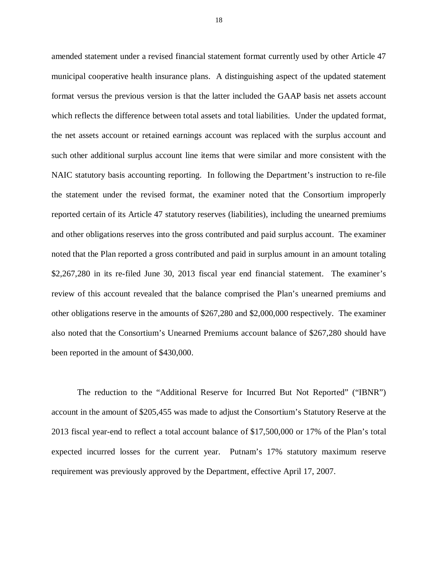amended statement under a revised financial statement format currently used by other Article 47 municipal cooperative health insurance plans. A distinguishing aspect of the updated statement format versus the previous version is that the latter included the GAAP basis net assets account which reflects the difference between total assets and total liabilities. Under the updated format, the net assets account or retained earnings account was replaced with the surplus account and such other additional surplus account line items that were similar and more consistent with the NAIC statutory basis accounting reporting. In following the Department's instruction to re-file the statement under the revised format, the examiner noted that the Consortium improperly reported certain of its Article 47 statutory reserves (liabilities), including the unearned premiums and other obligations reserves into the gross contributed and paid surplus account. The examiner noted that the Plan reported a gross contributed and paid in surplus amount in an amount totaling \$2,267,280 in its re-filed June 30, 2013 fiscal year end financial statement. The examiner's review of this account revealed that the balance comprised the Plan's unearned premiums and other obligations reserve in the amounts of \$267,280 and \$2,000,000 respectively. The examiner also noted that the Consortium's Unearned Premiums account balance of \$267,280 should have been reported in the amount of \$430,000.

 account in the amount of \$205,455 was made to adjust the Consortium's Statutory Reserve at the 2013 fiscal year-end to reflect a total account balance of \$17,500,000 or 17% of the Plan's total expected incurred losses for the current year. Putnam's 17% statutory maximum reserve requirement was previously approved by the Department, effective April 17, 2007. The reduction to the "Additional Reserve for Incurred But Not Reported" ("IBNR")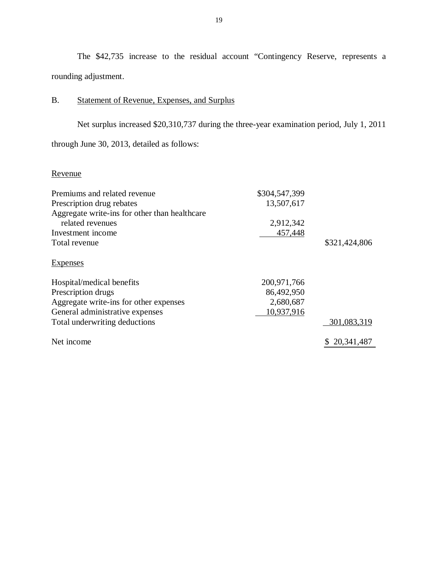<span id="page-20-0"></span>The \$42,735 increase to the residual account "Contingency Reserve, represents a rounding adjustment.

#### B. Statement of Revenue, Expenses, and Surplus

 through June 30, 2013, detailed as follows: Net surplus increased \$20,310,737 during the three-year examination period, July 1, 2011

### Revenue

| Premiums and related revenue                  | \$304,547,399 |               |
|-----------------------------------------------|---------------|---------------|
| Prescription drug rebates                     | 13,507,617    |               |
| Aggregate write-ins for other than healthcare |               |               |
| related revenues                              | 2,912,342     |               |
| Investment income                             | 457,448       |               |
| Total revenue                                 |               | \$321,424,806 |
| <b>Expenses</b>                               |               |               |
| Hospital/medical benefits                     | 200, 971, 766 |               |
| Prescription drugs                            | 86,492,950    |               |
| Aggregate write-ins for other expenses        | 2,680,687     |               |
| General administrative expenses               | 10,937,916    |               |
| Total underwriting deductions                 |               | 301,083,319   |
| Net income                                    |               | 20, 341, 487  |
|                                               |               |               |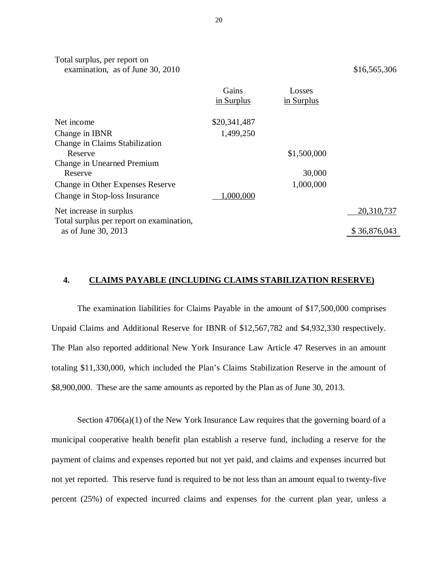Total surplus, per report on examination, as of June 30,  $2010$  \$16,565,306

|                                          | Gains        | Losses      |              |
|------------------------------------------|--------------|-------------|--------------|
|                                          | in Surplus   | in Surplus  |              |
| Net income                               | \$20,341,487 |             |              |
| Change in IBNR                           | 1,499,250    |             |              |
| Change in Claims Stabilization           |              |             |              |
| Reserve                                  |              | \$1,500,000 |              |
| Change in Unearned Premium               |              |             |              |
| Reserve                                  |              | 30,000      |              |
| Change in Other Expenses Reserve         |              | 1,000,000   |              |
| Change in Stop-loss Insurance            | 1,000,000    |             |              |
| Net increase in surplus                  |              |             | 20,310,737   |
| Total surplus per report on examination, |              |             |              |
| as of June 30, 2013                      |              |             | \$36,876,043 |

#### **4. CLAIMS PAYABLE (INCLUDING CLAIMS STABILIZATION RESERVE)**

 The examination liabilities for Claims Payable in the amount of \$17,500,000 comprises Unpaid Claims and Additional Reserve for IBNR of \$12,567,782 and \$4,932,330 respectively. The Plan also reported additional New York Insurance Law Article 47 Reserves in an amount totaling \$11,330,000, which included the Plan's Claims Stabilization Reserve in the amount of \$8,900,000. These are the same amounts as reported by the Plan as of June 30, 2013.

 Section 4706(a)(1) of the New York Insurance Law requires that the governing board of a municipal cooperative health benefit plan establish a reserve fund, including a reserve for the payment of claims and expenses reported but not yet paid, and claims and expenses incurred but not yet reported. This reserve fund is required to be not less than an amount equal to twenty-five percent (25%) of expected incurred claims and expenses for the current plan year, unless a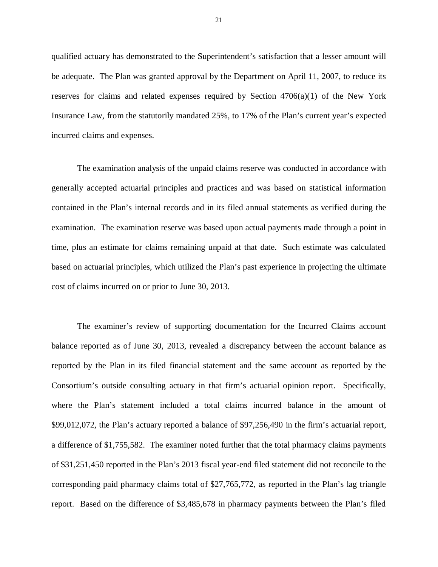qualified actuary has demonstrated to the Superintendent's satisfaction that a lesser amount will be adequate. The Plan was granted approval by the Department on April 11, 2007, to reduce its reserves for claims and related expenses required by Section 4706(a)(1) of the New York Insurance Law, from the statutorily mandated 25%, to 17% of the Plan's current year's expected incurred claims and expenses.

 The examination analysis of the unpaid claims reserve was conducted in accordance with generally accepted actuarial principles and practices and was based on statistical information contained in the Plan's internal records and in its filed annual statements as verified during the examination. The examination reserve was based upon actual payments made through a point in time, plus an estimate for claims remaining unpaid at that date. Such estimate was calculated based on actuarial principles, which utilized the Plan's past experience in projecting the ultimate cost of claims incurred on or prior to June 30, 2013.

 The examiner's review of supporting documentation for the Incurred Claims account balance reported as of June 30, 2013, revealed a discrepancy between the account balance as reported by the Plan in its filed financial statement and the same account as reported by the Consortium's outside consulting actuary in that firm's actuarial opinion report. Specifically, where the Plan's statement included a total claims incurred balance in the amount of \$99,012,072, the Plan's actuary reported a balance of \$97,256,490 in the firm's actuarial report, a difference of \$1,755,582. The examiner noted further that the total pharmacy claims payments of \$31,251,450 reported in the Plan's 2013 fiscal year-end filed statement did not reconcile to the corresponding paid pharmacy claims total of \$27,765,772, as reported in the Plan's lag triangle report. Based on the difference of \$3,485,678 in pharmacy payments between the Plan's filed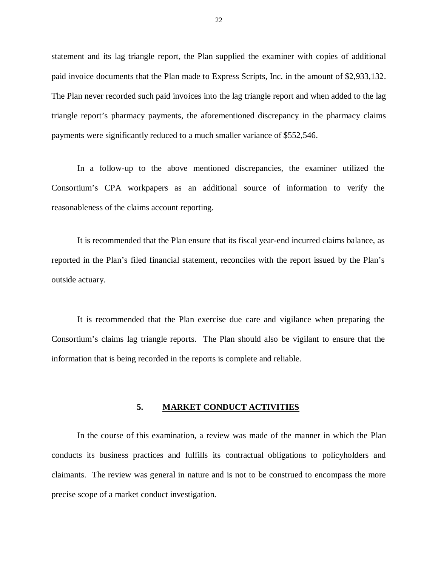<span id="page-23-0"></span> statement and its lag triangle report, the Plan supplied the examiner with copies of additional paid invoice documents that the Plan made to Express Scripts, Inc. in the amount of \$2,933,132. The Plan never recorded such paid invoices into the lag triangle report and when added to the lag triangle report's pharmacy payments, the aforementioned discrepancy in the pharmacy claims payments were significantly reduced to a much smaller variance of \$552,546.

 Consortium's CPA workpapers as an additional source of information to verify the reasonableness of the claims account reporting. In a follow-up to the above mentioned discrepancies, the examiner utilized the

 reported in the Plan's filed financial statement, reconciles with the report issued by the Plan's outside actuary. It is recommended that the Plan ensure that its fiscal year-end incurred claims balance, as

 Consortium's claims lag triangle reports. The Plan should also be vigilant to ensure that the information that is being recorded in the reports is complete and reliable. It is recommended that the Plan exercise due care and vigilance when preparing the

#### **5. MARKET CONDUCT ACTIVITIES**

 conducts its business practices and fulfills its contractual obligations to policyholders and claimants. The review was general in nature and is not to be construed to encompass the more precise scope of a market conduct investigation. In the course of this examination, a review was made of the manner in which the Plan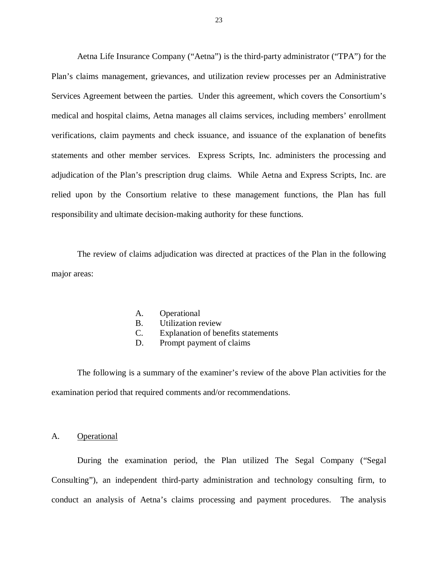<span id="page-24-0"></span> Aetna Life Insurance Company ("Aetna") is the third-party administrator ("TPA") for the Plan's claims management, grievances, and utilization review processes per an Administrative Services Agreement between the parties. Under this agreement, which covers the Consortium's medical and hospital claims, Aetna manages all claims services, including members' enrollment verifications, claim payments and check issuance, and issuance of the explanation of benefits statements and other member services. Express Scripts, Inc. administers the processing and adjudication of the Plan's prescription drug claims. While Aetna and Express Scripts, Inc. are relied upon by the Consortium relative to these management functions, the Plan has full responsibility and ultimate decision-making authority for these functions.

 The review of claims adjudication was directed at practices of the Plan in the following major areas:

- A. Operational
- B. Utilization review
- C. Explanation of benefits statements
- D. Prompt payment of claims

 examination period that required comments and/or recommendations. The following is a summary of the examiner's review of the above Plan activities for the

#### A. Operational

 During the examination period, the Plan utilized The Segal Company ("Segal Consulting"), an independent third-party administration and technology consulting firm, to conduct an analysis of Aetna's claims processing and payment procedures. The analysis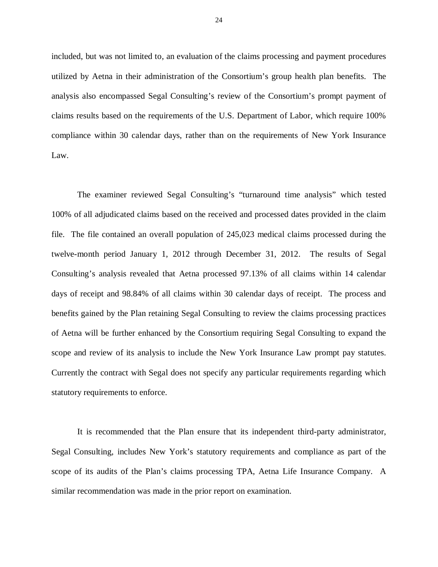included, but was not limited to, an evaluation of the claims processing and payment procedures utilized by Aetna in their administration of the Consortium's group health plan benefits. The analysis also encompassed Segal Consulting's review of the Consortium's prompt payment of claims results based on the requirements of the U.S. Department of Labor, which require 100% compliance within 30 calendar days, rather than on the requirements of New York Insurance  $Law$ 

 100% of all adjudicated claims based on the received and processed dates provided in the claim file. The file contained an overall population of 245,023 medical claims processed during the twelve-month period January 1, 2012 through December 31, 2012. The results of Segal Consulting's analysis revealed that Aetna processed 97.13% of all claims within 14 calendar days of receipt and 98.84% of all claims within 30 calendar days of receipt. The process and benefits gained by the Plan retaining Segal Consulting to review the claims processing practices of Aetna will be further enhanced by the Consortium requiring Segal Consulting to expand the scope and review of its analysis to include the New York Insurance Law prompt pay statutes. Currently the contract with Segal does not specify any particular requirements regarding which statutory requirements to enforce. The examiner reviewed Segal Consulting's "turnaround time analysis" which tested

 Segal Consulting, includes New York's statutory requirements and compliance as part of the scope of its audits of the Plan's claims processing TPA, Aetna Life Insurance Company. A similar recommendation was made in the prior report on examination. It is recommended that the Plan ensure that its independent third-party administrator,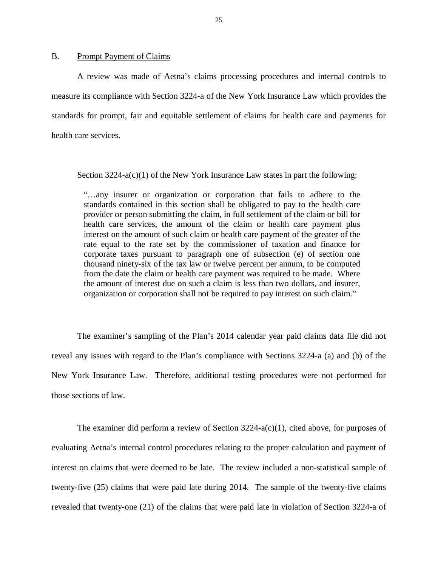#### <span id="page-26-0"></span> $B<sub>1</sub>$ Prompt Payment of Claims

 measure its compliance with Section 3224-a of the New York Insurance Law which provides the standards for prompt, fair and equitable settlement of claims for health care and payments for health care services. A review was made of Aetna's claims processing procedures and internal controls to

Section 3224-a(c)(1) of the New York Insurance Law states in part the following:

 "…any insurer or organization or corporation that fails to adhere to the standards contained in this section shall be obligated to pay to the health care provider or person submitting the claim, in full settlement of the claim or bill for health care services, the amount of the claim or health care payment plus interest on the amount of such claim or health care payment of the greater of the rate equal to the rate set by the commissioner of taxation and finance for corporate taxes pursuant to paragraph one of subsection (e) of section one thousand ninety-six of the tax law or twelve percent per annum, to be computed from the date the claim or health care payment was required to be made. Where the amount of interest due on such a claim is less than two dollars, and insurer, organization or corporation shall not be required to pay interest on such claim."

 reveal any issues with regard to the Plan's compliance with Sections 3224-a (a) and (b) of the New York Insurance Law. Therefore, additional testing procedures were not performed for those sections of law. The examiner's sampling of the Plan's 2014 calendar year paid claims data file did not

 evaluating Aetna's internal control procedures relating to the proper calculation and payment of interest on claims that were deemed to be late. The review included a non-statistical sample of twenty-five (25) claims that were paid late during 2014. The sample of the twenty-five claims revealed that twenty-one (21) of the claims that were paid late in violation of Section 3224-a of The examiner did perform a review of Section 3224-a(c)(1), cited above, for purposes of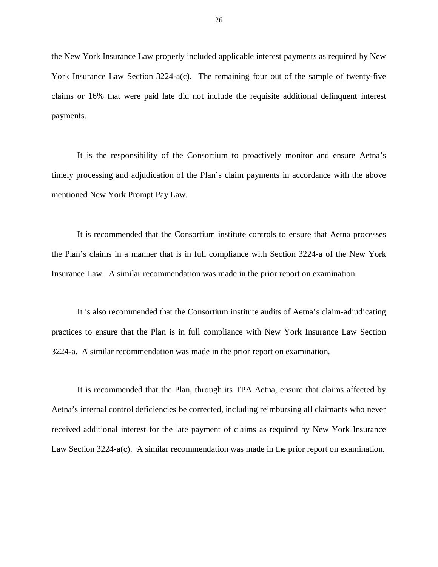the New York Insurance Law properly included applicable interest payments as required by New York Insurance Law Section 3224-a(c). The remaining four out of the sample of twenty-five claims or 16% that were paid late did not include the requisite additional delinquent interest payments.

 timely processing and adjudication of the Plan's claim payments in accordance with the above mentioned New York Prompt Pay Law. It is the responsibility of the Consortium to proactively monitor and ensure Aetna's

 It is recommended that the Consortium institute controls to ensure that Aetna processes the Plan's claims in a manner that is in full compliance with Section 3224-a of the New York Insurance Law. A similar recommendation was made in the prior report on examination.

 It is also recommended that the Consortium institute audits of Aetna's claim-adjudicating practices to ensure that the Plan is in full compliance with New York Insurance Law Section 3224-a. A similar recommendation was made in the prior report on examination.

 It is recommended that the Plan, through its TPA Aetna, ensure that claims affected by Aetna's internal control deficiencies be corrected, including reimbursing all claimants who never received additional interest for the late payment of claims as required by New York Insurance Law Section 3224-a(c). A similar recommendation was made in the prior report on examination.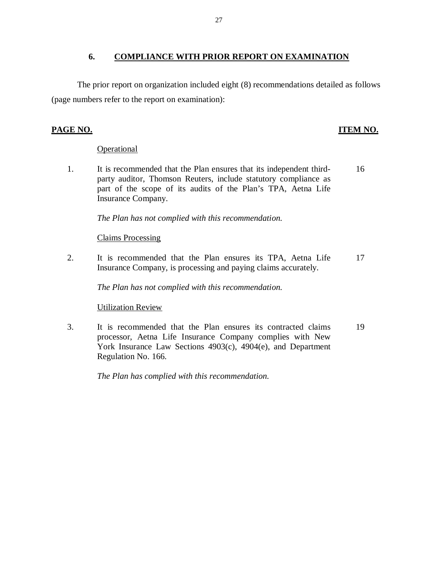### **6. COMPLIANCE WITH PRIOR REPORT ON EXAMINATION**

 (page numbers refer to the report on examination): The prior report on organization included eight (8) recommendations detailed as follows

#### **PAGE NO.**

### **ITEM NO.**

#### **Operational**

1. party auditor, Thomson Reuters, include statutory compliance as part of the scope of its audits of the Plan's TPA, Aetna Life Insurance Company. It is recommended that the Plan ensures that its independent third-16

 *The Plan has not complied with this recommendation.* 

### Claims Processing

 $2.$  Insurance Company, is processing and paying claims accurately. It is recommended that the Plan ensures its TPA, Aetna Life 17

 *The Plan has not complied with this recommendation.* 

### Utilization Review

3. processor, Aetna Life Insurance Company complies with New York Insurance Law Sections 4903(c), 4904(e), and Department Regulation No. 166. It is recommended that the Plan ensures its contracted claims 19

 *The Plan has complied with this recommendation.*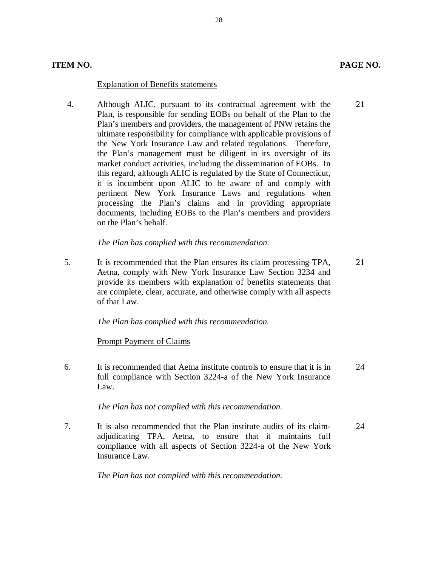#### **Explanation of Benefits statements**

 4. Although ALIC, pursuant to its contractual agreement with the 21 Plan, is responsible for sending EOBs on behalf of the Plan to the Plan's members and providers, the management of PNW retains the ultimate responsibility for compliance with applicable provisions of the New York Insurance Law and related regulations. Therefore, the Plan's management must be diligent in its oversight of its market conduct activities, including the dissemination of EOBs. In this regard, although ALIC is regulated by the State of Connecticut, it is incumbent upon ALIC to be aware of and comply with pertinent New York Insurance Laws and regulations when processing the Plan's claims and in providing appropriate documents, including EOBs to the Plan's members and providers on the Plan's behalf.

28

#### *The Plan has complied with this recommendation.*

5. Aetna, comply with New York Insurance Law Section 3234 and provide its members with explanation of benefits statements that are complete, clear, accurate, and otherwise comply with all aspects of that Law. It is recommended that the Plan ensures its claim processing TPA, 21

 *The Plan has complied with this recommendation.* 

#### **Prompt Payment of Claims**

6. full compliance with Section 3224-a of the New York Insurance Law. It is recommended that Aetna institute controls to ensure that it is in 24

#### *The Plan has not complied with this recommendation.*

7. adjudicating TPA, Aetna, to ensure that it maintains full compliance with all aspects of Section 3224-a of the New York Insurance Law. It is also recommended that the Plan institute audits of its claim-<br>24

 *The Plan has not complied with this recommendation.*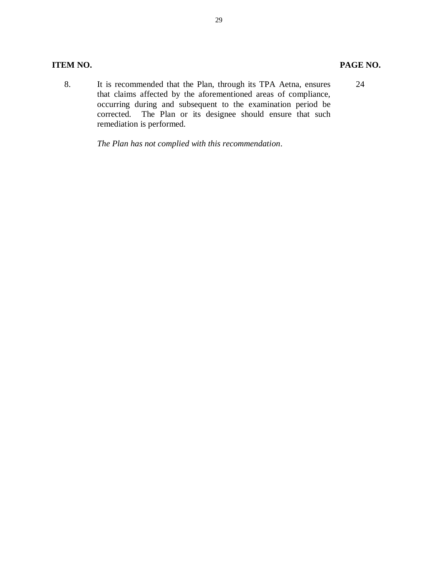### **ITEM NO.**

8. that claims affected by the aforementioned areas of compliance, occurring during and subsequent to the examination period be corrected. The Plan or its designee should ensure that such remediation is performed. It is recommended that the Plan, through its TPA Aetna, ensures 24

 *The Plan has not complied with this recommendation*.

#### PAGE NO.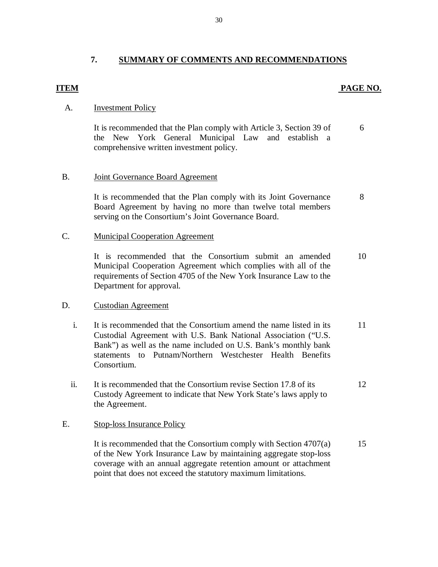#### **7. SUMMARY OF COMMENTS AND RECOMMENDATIONS**

#### **ITEM** PAGE NO.

#### A. **Investment Policy**

 the New York General Municipal Law and establish a comprehensive written investment policy. It is recommended that the Plan comply with Article 3, Section 39 of 6

#### $B<sub>1</sub>$ Joint Governance Board Agreement

 Board Agreement by having no more than twelve total members serving on the Consortium's Joint Governance Board. It is recommended that the Plan comply with its Joint Governance 8

#### C. Municipal Cooperation Agreement

 Municipal Cooperation Agreement which complies with all of the requirements of Section 4705 of the New York Insurance Law to the Department for approval. It is recommended that the Consortium submit an amended 10

#### D. Custodian Agreement

- $\mathbf{i}$ . Custodial Agreement with U.S. Bank National Association ("U.S. Bank") as well as the name included on U.S. Bank's monthly bank statements to Putnam/Northern Westchester Health Benefits It is recommended that the Consortium amend the name listed in its Consortium. 11
- $ii.$  Custody Agreement to indicate that New York State's laws apply to It is recommended that the Consortium revise Section 17.8 of its the Agreement. 12

#### E. Stop-loss Insurance Policy

 of the New York Insurance Law by maintaining aggregate stop-loss coverage with an annual aggregate retention amount or attachment point that does not exceed the statutory maximum limitations. It is recommended that the Consortium comply with Section 4707(a) 15

30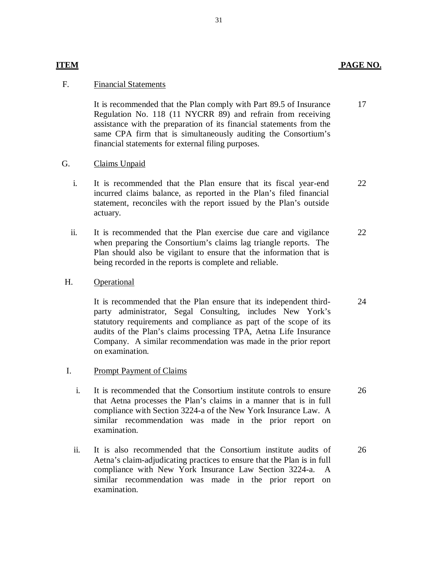### **ITEM** PAGE NO.

24

#### F. Financial Statements

 Regulation No. 118 (11 NYCRR 89) and refrain from receiving assistance with the preparation of its financial statements from the same CPA firm that is simultaneously auditing the Consortium's financial statements for external filing purposes. It is recommended that the Plan comply with Part 89.5 of Insurance 17

#### G. Claims Unpaid

- $\mathbf{i}$ . incurred claims balance, as reported in the Plan's filed financial statement, reconciles with the report issued by the Plan's outside It is recommended that the Plan ensure that its fiscal year-end actuary. 22
- $ii.$  when preparing the Consortium's claims lag triangle reports. The Plan should also be vigilant to ensure that the information that is being recorded in the reports is complete and reliable. It is recommended that the Plan exercise due care and vigilance 22

#### H. **Operational**

 party administrator, Segal Consulting, includes New York's statutory requirements and compliance as part of the scope of its audits of the Plan's claims processing TPA, Aetna Life Insurance Company. A similar recommendation was made in the prior report It is recommended that the Plan ensure that its independent thirdon examination.

#### I. Prompt Payment of Claims

- $i$ . that Aetna processes the Plan's claims in a manner that is in full compliance with Section 3224-a of the New York Insurance Law. A similar recommendation was made in the prior report on examination It is recommended that the Consortium institute controls to ensure It is recommended that the Consortium institute controls to ensure<br>that Aetna processes the Plan's claims in a manner that is in full<br>compliance with Section 3224-a of the New York Insurance Law. A<br>similar recommendation w
- ii. Aetna's claim-adjudicating practices to ensure that the Plan is in full compliance with New York Insurance Law Section 3224-a. A similar recommendation was made in the prior report on It is also recommended that the Consortium institute audits of examination. 26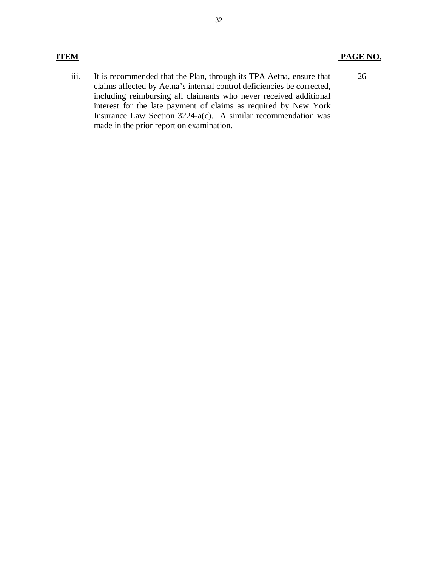### **ITEM PAGE NO.**

iii. claims affected by Aetna's internal control deficiencies be corrected, including reimbursing all claimants who never received additional interest for the late payment of claims as required by New York Insurance Law Section 3224-a(c). A similar recommendation was made in the prior report on examination. It is recommended that the Plan, through its TPA Aetna, ensure that 26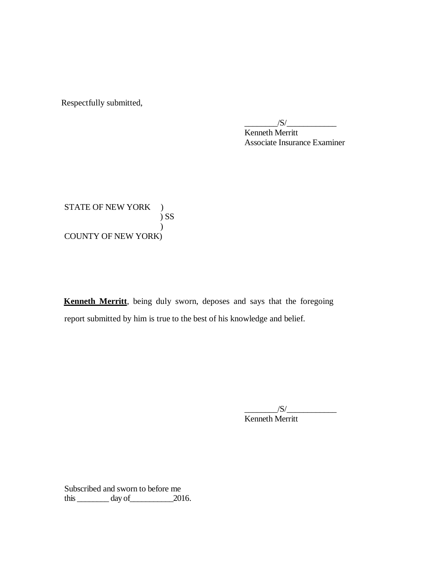Respectfully submitted,

 Kenneth Merritt Associate Insurance Examiner  $\frac{|S|}{|S|}$ 

STATE OF NEW YORK ) COUNTY OF NEW YORK) ) SS  $\mathcal{L}$ 

 **Kenneth Merritt**, being duly sworn, deposes and says that the foregoing report submitted by him is true to the best of his knowledge and belief.

> $/S/\sim$ Kenneth Merritt

 Subscribed and sworn to before me this  $\_\_\_\_\_\_\$  day of  $\_\_\_\_\_\$  2016.